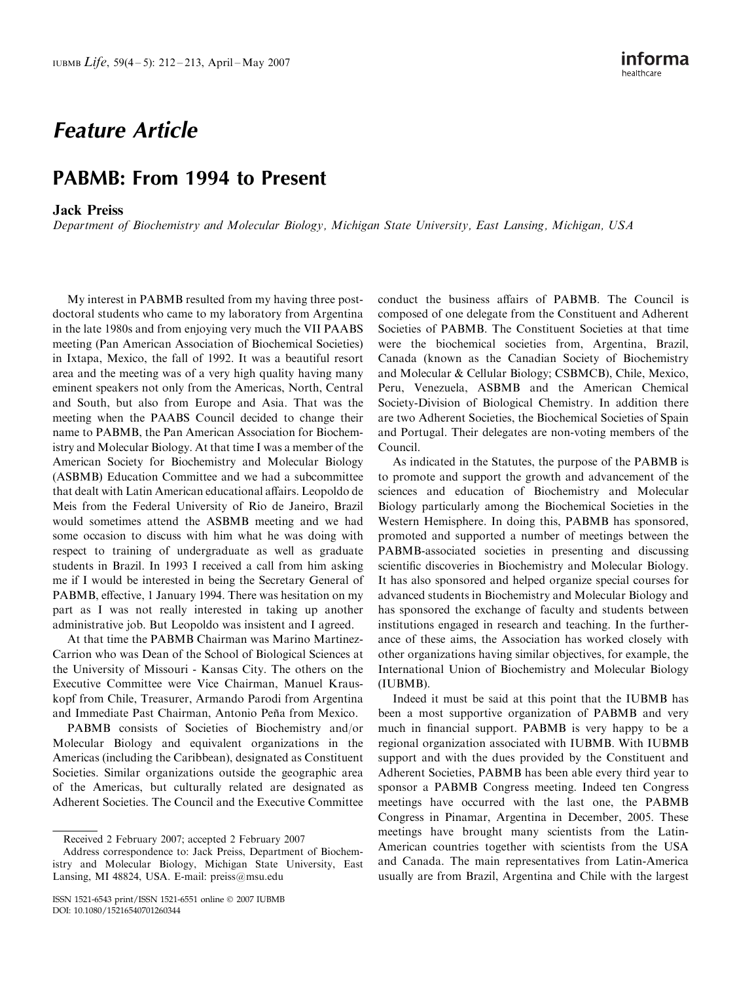## Feature Article

## PABMB: From 1994 to Present

## Jack Preiss

Department of Biochemistry and Molecular Biology, Michigan State University, East Lansing, Michigan, USA

My interest in PABMB resulted from my having three postdoctoral students who came to my laboratory from Argentina in the late 1980s and from enjoying very much the VII PAABS meeting (Pan American Association of Biochemical Societies) in Ixtapa, Mexico, the fall of 1992. It was a beautiful resort area and the meeting was of a very high quality having many eminent speakers not only from the Americas, North, Central and South, but also from Europe and Asia. That was the meeting when the PAABS Council decided to change their name to PABMB, the Pan American Association for Biochemistry and Molecular Biology. At that time I was a member of the American Society for Biochemistry and Molecular Biology (ASBMB) Education Committee and we had a subcommittee that dealt with Latin American educational affairs. Leopoldo de Meis from the Federal University of Rio de Janeiro, Brazil would sometimes attend the ASBMB meeting and we had some occasion to discuss with him what he was doing with respect to training of undergraduate as well as graduate students in Brazil. In 1993 I received a call from him asking me if I would be interested in being the Secretary General of PABMB, effective, 1 January 1994. There was hesitation on my part as I was not really interested in taking up another administrative job. But Leopoldo was insistent and I agreed.

At that time the PABMB Chairman was Marino Martinez-Carrion who was Dean of the School of Biological Sciences at the University of Missouri - Kansas City. The others on the Executive Committee were Vice Chairman, Manuel Krauskopf from Chile, Treasurer, Armando Parodi from Argentina and Immediate Past Chairman, Antonio Peña from Mexico.

PABMB consists of Societies of Biochemistry and/or Molecular Biology and equivalent organizations in the Americas (including the Caribbean), designated as Constituent Societies. Similar organizations outside the geographic area of the Americas, but culturally related are designated as Adherent Societies. The Council and the Executive Committee conduct the business affairs of PABMB. The Council is composed of one delegate from the Constituent and Adherent Societies of PABMB. The Constituent Societies at that time were the biochemical societies from, Argentina, Brazil, Canada (known as the Canadian Society of Biochemistry and Molecular & Cellular Biology; CSBMCB), Chile, Mexico, Peru, Venezuela, ASBMB and the American Chemical Society-Division of Biological Chemistry. In addition there are two Adherent Societies, the Biochemical Societies of Spain and Portugal. Their delegates are non-voting members of the Council.

As indicated in the Statutes, the purpose of the PABMB is to promote and support the growth and advancement of the sciences and education of Biochemistry and Molecular Biology particularly among the Biochemical Societies in the Western Hemisphere. In doing this, PABMB has sponsored, promoted and supported a number of meetings between the PABMB-associated societies in presenting and discussing scientific discoveries in Biochemistry and Molecular Biology. It has also sponsored and helped organize special courses for advanced students in Biochemistry and Molecular Biology and has sponsored the exchange of faculty and students between institutions engaged in research and teaching. In the furtherance of these aims, the Association has worked closely with other organizations having similar objectives, for example, the International Union of Biochemistry and Molecular Biology (IUBMB).

Indeed it must be said at this point that the IUBMB has been a most supportive organization of PABMB and very much in financial support. PABMB is very happy to be a regional organization associated with IUBMB. With IUBMB support and with the dues provided by the Constituent and Adherent Societies, PABMB has been able every third year to sponsor a PABMB Congress meeting. Indeed ten Congress meetings have occurred with the last one, the PABMB Congress in Pinamar, Argentina in December, 2005. These meetings have brought many scientists from the Latin-American countries together with scientists from the USA and Canada. The main representatives from Latin-America usually are from Brazil, Argentina and Chile with the largest

Received 2 February 2007; accepted 2 February 2007

Address correspondence to: Jack Preiss, Department of Biochemistry and Molecular Biology, Michigan State University, East Lansing, MI 48824, USA. E-mail: preiss@msu.edu